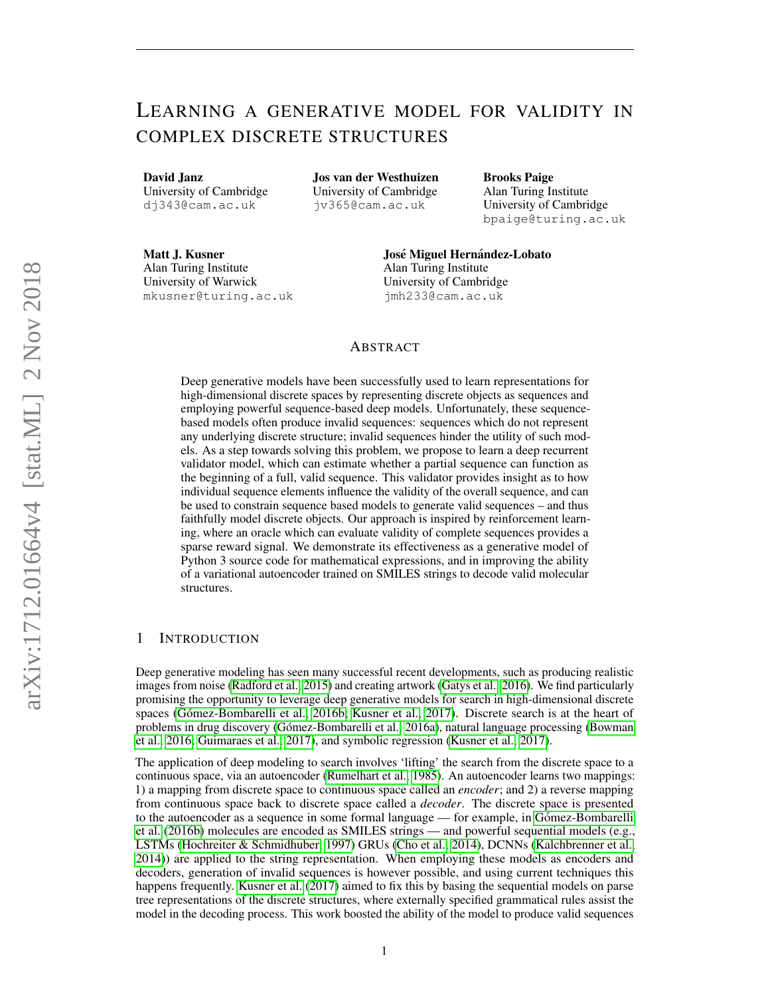# LEARNING A GENERATIVE MODEL FOR VALIDITY IN COMPLEX DISCRETE STRUCTURES

David Janz University of Cambridge dj343@cam.ac.uk

Jos van der Westhuizen University of Cambridge jv365@cam.ac.uk

Brooks Paige Alan Turing Institute University of Cambridge bpaige@turing.ac.uk

Matt J. Kusner Alan Turing Institute University of Warwick mkusner@turing.ac.uk José Miguel Hernández-Lobato Alan Turing Institute University of Cambridge jmh233@cam.ac.uk

## ABSTRACT

Deep generative models have been successfully used to learn representations for high-dimensional discrete spaces by representing discrete objects as sequences and employing powerful sequence-based deep models. Unfortunately, these sequencebased models often produce invalid sequences: sequences which do not represent any underlying discrete structure; invalid sequences hinder the utility of such models. As a step towards solving this problem, we propose to learn a deep recurrent validator model, which can estimate whether a partial sequence can function as the beginning of a full, valid sequence. This validator provides insight as to how individual sequence elements influence the validity of the overall sequence, and can be used to constrain sequence based models to generate valid sequences – and thus faithfully model discrete objects. Our approach is inspired by reinforcement learning, where an oracle which can evaluate validity of complete sequences provides a sparse reward signal. We demonstrate its effectiveness as a generative model of Python 3 source code for mathematical expressions, and in improving the ability of a variational autoencoder trained on SMILES strings to decode valid molecular structures.

## 1 INTRODUCTION

Deep generative modeling has seen many successful recent developments, such as producing realistic images from noise [\(Radford et al., 2015\)](#page-9-0) and creating artwork [\(Gatys et al., 2016\)](#page-9-1). We find particularly promising the opportunity to leverage deep generative models for search in high-dimensional discrete spaces (Gómez-Bombarelli et al., 2016b; [Kusner et al., 2017\)](#page-9-3). Discrete search is at the heart of problems in drug discovery (Gómez-Bombarelli et al., 2016a), natural language processing [\(Bowman](#page-8-0) [et al., 2016;](#page-8-0) [Guimaraes et al., 2017\)](#page-9-5), and symbolic regression [\(Kusner et al., 2017\)](#page-9-3).

The application of deep modeling to search involves 'lifting' the search from the discrete space to a continuous space, via an autoencoder [\(Rumelhart et al., 1985\)](#page-9-6). An autoencoder learns two mappings: 1) a mapping from discrete space to continuous space called an *encoder*; and 2) a reverse mapping from continuous space back to discrete space called a *decoder*. The discrete space is presented to the autoencoder as a sequence in some formal language — for example, in Gómez-Bombarelli [et al.](#page-9-2) [\(2016b\)](#page-9-2) molecules are encoded as SMILES strings — and powerful sequential models (e.g., LSTMs [\(Hochreiter & Schmidhuber, 1997\)](#page-9-7) GRUs [\(Cho et al., 2014\)](#page-8-1), DCNNs [\(Kalchbrenner et al.,](#page-9-8) [2014\)](#page-9-8)) are applied to the string representation. When employing these models as encoders and decoders, generation of invalid sequences is however possible, and using current techniques this happens frequently. [Kusner et al.](#page-9-3) [\(2017\)](#page-9-3) aimed to fix this by basing the sequential models on parse tree representations of the discrete structures, where externally specified grammatical rules assist the model in the decoding process. This work boosted the ability of the model to produce valid sequences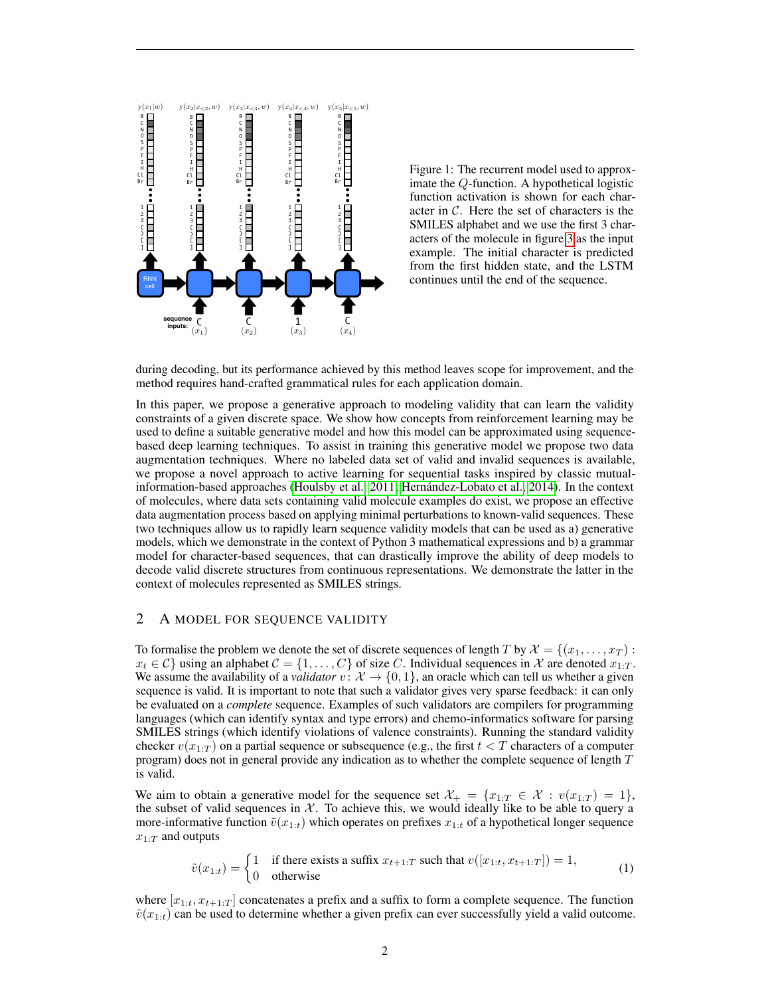<span id="page-1-1"></span>

Figure 1: The recurrent model used to approximate the Q-function. A hypothetical logistic function activation is shown for each character in  $\mathcal{C}$ . Here the set of characters is the SMILES alphabet and we use the first 3 characters of the molecule in figure [3](#page-7-0) as the input example. The initial character is predicted from the first hidden state, and the LSTM continues until the end of the sequence.

during decoding, but its performance achieved by this method leaves scope for improvement, and the method requires hand-crafted grammatical rules for each application domain.

In this paper, we propose a generative approach to modeling validity that can learn the validity constraints of a given discrete space. We show how concepts from reinforcement learning may be used to define a suitable generative model and how this model can be approximated using sequencebased deep learning techniques. To assist in training this generative model we propose two data augmentation techniques. Where no labeled data set of valid and invalid sequences is available, we propose a novel approach to active learning for sequential tasks inspired by classic mutualinformation-based approaches [\(Houlsby et al., 2011;](#page-9-9) [Hernandez-Lobato et al., 2014\)](#page-9-10). In the context ´ of molecules, where data sets containing valid molecule examples do exist, we propose an effective data augmentation process based on applying minimal perturbations to known-valid sequences. These two techniques allow us to rapidly learn sequence validity models that can be used as a) generative models, which we demonstrate in the context of Python 3 mathematical expressions and b) a grammar model for character-based sequences, that can drastically improve the ability of deep models to decode valid discrete structures from continuous representations. We demonstrate the latter in the context of molecules represented as SMILES strings.

## 2 A MODEL FOR SEQUENCE VALIDITY

To formalise the problem we denote the set of discrete sequences of length T by  $\mathcal{X} = \{(x_1, \ldots, x_T) :$  $x_t \in C$ } using an alphabet  $C = \{1, \ldots, C\}$  of size C. Individual sequences in X are denoted  $x_{1:T}$ . We assume the availability of a *validator*  $v: \mathcal{X} \to \{0, 1\}$ , an oracle which can tell us whether a given sequence is valid. It is important to note that such a validator gives very sparse feedback: it can only be evaluated on a *complete* sequence. Examples of such validators are compilers for programming languages (which can identify syntax and type errors) and chemo-informatics software for parsing SMILES strings (which identify violations of valence constraints). Running the standard validity checker  $v(x_{1:T})$  on a partial sequence or subsequence (e.g., the first  $t < T$  characters of a computer program) does not in general provide any indication as to whether the complete sequence of length  $T$ is valid.

We aim to obtain a generative model for the sequence set  $\mathcal{X}_+ = \{x_{1:T} \in \mathcal{X} : v(x_{1:T}) = 1\}$ , the subset of valid sequences in  $\mathcal{X}$ . To achieve this, we would ideally like to be able to query a more-informative function  $\tilde{v}(x_{1:t})$  which operates on prefixes  $x_{1:t}$  of a hypothetical longer sequence  $x_{1:T}$  and outputs

<span id="page-1-0"></span>
$$
\tilde{v}(x_{1:t}) = \begin{cases}\n1 & \text{if there exists a suffix } x_{t+1:T} \text{ such that } v([x_{1:t}, x_{t+1:T}]) = 1, \\
0 & \text{otherwise}\n\end{cases}
$$
\n(1)

where  $[x_{1:t}, x_{t+1:T}]$  concatenates a prefix and a suffix to form a complete sequence. The function  $\tilde{v}(x_{1:t})$  can be used to determine whether a given prefix can ever successfully yield a valid outcome.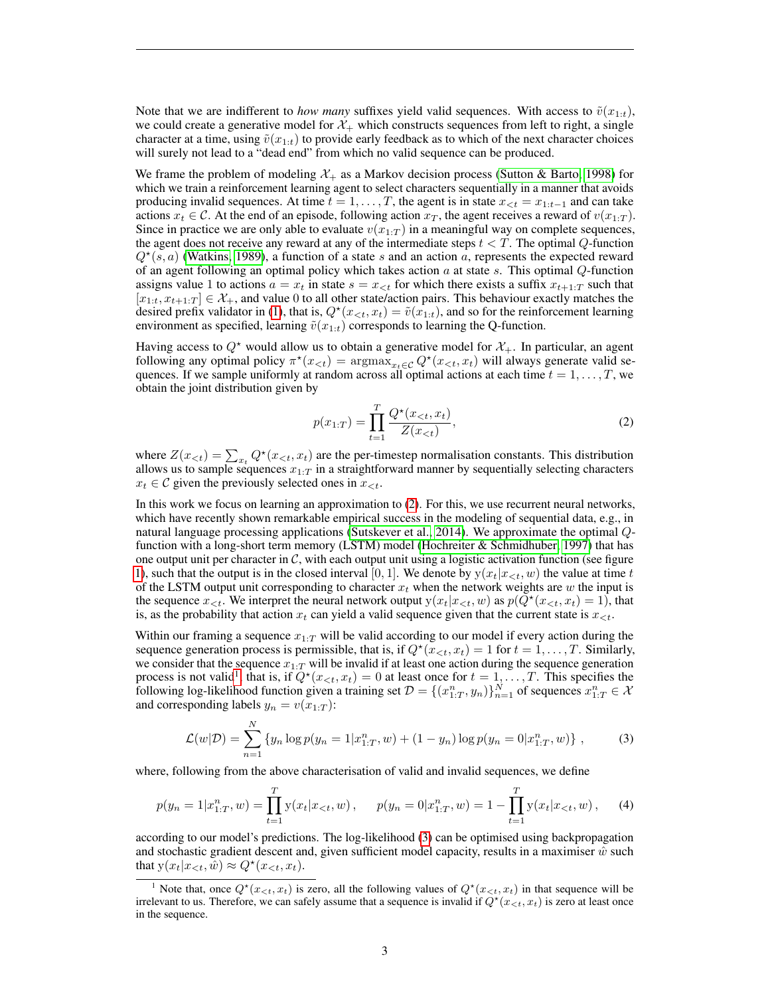Note that we are indifferent to *how many* suffixes yield valid sequences. With access to  $\tilde{v}(x_{1:t})$ , we could create a generative model for  $\mathcal{X}_+$  which constructs sequences from left to right, a single character at a time, using  $\tilde{v}(x_{1:t})$  to provide early feedback as to which of the next character choices will surely not lead to a "dead end" from which no valid sequence can be produced.

We frame the problem of modeling  $\mathcal{X}_+$  as a Markov decision process [\(Sutton & Barto, 1998\)](#page-10-0) for which we train a reinforcement learning agent to select characters sequentially in a manner that avoids producing invalid sequences. At time  $t = 1, \ldots, T$ , the agent is in state  $x_{\leq t} = x_{1:t-1}$  and can take actions  $x_t \in \mathcal{C}$ . At the end of an episode, following action  $x_T$ , the agent receives a reward of  $v(x_{1:T})$ . Since in practice we are only able to evaluate  $v(x_{1:T})$  in a meaningful way on complete sequences, the agent does not receive any reward at any of the intermediate steps  $t < T$ . The optimal  $Q$ -function  $Q^*(s, a)$  [\(Watkins, 1989\)](#page-10-1), a function of a state s and an action a, represents the expected reward of an agent following an optimal policy which takes action  $a$  at state  $s$ . This optimal  $Q$ -function assigns value 1 to actions  $a = x_t$  in state  $s = x_{< t}$  for which there exists a suffix  $x_{t+1:T}$  such that  $[x_{1:t}, x_{t+1:T}] \in \mathcal{X}_+$ , and value 0 to all other state/action pairs. This behaviour exactly matches the desired prefix validator in [\(1\)](#page-1-0), that is,  $Q^*(x_{< t}, x_t) = \tilde{v}(x_{1:t})$ , and so for the reinforcement learning environment as specified, learning  $\tilde{v}(x_{1:t})$  corresponds to learning the Q-function.

Having access to  $Q^*$  would allow us to obtain a generative model for  $\mathcal{X}_+$ . In particular, an agent following any optimal policy  $\pi^*(x_{< t}) = \operatorname{argmax}_{x_t \in \mathcal{C}} Q^*(x_{< t}, x_t)$  will always generate valid sequences. If we sample uniformly at random across all optimal actions at each time  $t = 1, \ldots, T$ , we obtain the joint distribution given by

<span id="page-2-0"></span>
$$
p(x_{1:T}) = \prod_{t=1}^{T} \frac{Q^{\star}(x_{< t}, x_t)}{Z(x_{< t})},
$$
\n(2)

where  $Z(x_{< t}) = \sum_{x_t} Q^*(x_{< t}, x_t)$  are the per-timestep normalisation constants. This distribution allows us to sample sequences  $x_{1:T}$  in a straightforward manner by sequentially selecting characters  $x_t \in \mathcal{C}$  given the previously selected ones in  $x_{\leq t}$ .

In this work we focus on learning an approximation to [\(2\)](#page-2-0). For this, we use recurrent neural networks, which have recently shown remarkable empirical success in the modeling of sequential data, e.g., in natural language processing applications [\(Sutskever et al., 2014\)](#page-10-2). We approximate the optimal Qfunction with a long-short term memory (LSTM) model [\(Hochreiter & Schmidhuber, 1997\)](#page-9-7) that has one output unit per character in  $C$ , with each output unit using a logistic activation function (see figure [1\)](#page-1-1), such that the output is in the closed interval [0, 1]. We denote by  $y(x_t|x_{<}; w)$  the value at time t of the LSTM output unit corresponding to character  $x_t$  when the network weights are w the input is the sequence  $x_{\leq t}$ . We interpret the neural network output  $y(x_t|x_{\leq t}, w)$  as  $p(Q^*(x_{\leq t}, x_t) = 1)$ , that is, as the probability that action  $x_t$  can yield a valid sequence given that the current state is  $x_{\leq t}$ .

Within our framing a sequence  $x_{1:T}$  will be valid according to our model if every action during the sequence generation process is permissible, that is, if  $Q^*(x \lt t, x_t) = 1$  for  $t = 1, \ldots, T$ . Similarly, we consider that the sequence  $x_{1:T}$  will be invalid if at least one action during the sequence generation process is not valid<sup>[1](#page-2-1)</sup>, that is, if  $Q^*(x_{\leq t}, x_t) = 0$  at least once for  $t = 1, \ldots, T$ . This specifies the following log-likelihood function given a training set  $\mathcal{D} = \{(x_{1:T}^n, y_n)\}_{n=1}^N$  of sequences  $x_{1:T}^n \in \mathcal{X}$ and corresponding labels  $y_n = v(x_{1:T})$ :

<span id="page-2-3"></span><span id="page-2-2"></span>
$$
\mathcal{L}(w|\mathcal{D}) = \sum_{n=1}^{N} \{y_n \log p(y_n = 1 | x_{1:T}^n, w) + (1 - y_n) \log p(y_n = 0 | x_{1:T}^n, w) \},\tag{3}
$$

where, following from the above characterisation of valid and invalid sequences, we define

$$
p(y_n = 1 | x_{1:T}^n, w) = \prod_{t=1}^T y(x_t | x_{< t}, w), \quad p(y_n = 0 | x_{1:T}^n, w) = 1 - \prod_{t=1}^T y(x_t | x_{< t}, w), \quad (4)
$$

according to our model's predictions. The log-likelihood [\(3\)](#page-2-2) can be optimised using backpropagation and stochastic gradient descent and, given sufficient model capacity, results in a maximiser  $\hat{w}$  such that  $y(x_t|x_{.$ 

<span id="page-2-1"></span><sup>&</sup>lt;sup>1</sup> Note that, once  $Q^*(x_{\leq t}, x_t)$  is zero, all the following values of  $Q^*(x_{\leq t}, x_t)$  in that sequence will be irrelevant to us. Therefore, we can safely assume that a sequence is invalid if  $Q^*(x \leq t, x_t)$  is zero at least once in the sequence.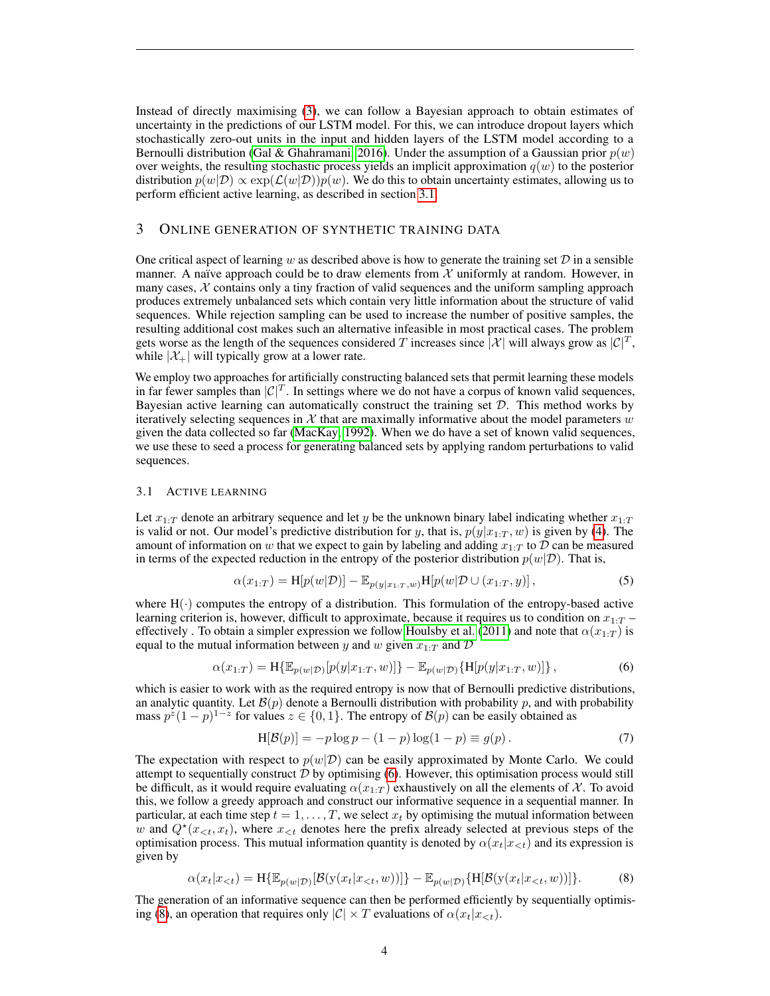Instead of directly maximising [\(3\)](#page-2-2), we can follow a Bayesian approach to obtain estimates of uncertainty in the predictions of our LSTM model. For this, we can introduce dropout layers which stochastically zero-out units in the input and hidden layers of the LSTM model according to a Bernoulli distribution [\(Gal & Ghahramani, 2016\)](#page-9-11). Under the assumption of a Gaussian prior  $p(w)$ over weights, the resulting stochastic process yields an implicit approximation  $q(w)$  to the posterior distribution  $p(w|\mathcal{D}) \propto \exp(\mathcal{L}(w|\mathcal{D}))p(w)$ . We do this to obtain uncertainty estimates, allowing us to perform efficient active learning, as described in section [3.1.](#page-3-0)

## 3 ONLINE GENERATION OF SYNTHETIC TRAINING DATA

One critical aspect of learning w as described above is how to generate the training set  $D$  in a sensible manner. A naïve approach could be to draw elements from  $X$  uniformly at random. However, in many cases,  $X$  contains only a tiny fraction of valid sequences and the uniform sampling approach produces extremely unbalanced sets which contain very little information about the structure of valid sequences. While rejection sampling can be used to increase the number of positive samples, the resulting additional cost makes such an alternative infeasible in most practical cases. The problem gets worse as the length of the sequences considered T increases since  $|\mathcal{X}|$  will always grow as  $|\mathcal{C}|^T$ , while  $|\mathcal{X}_+|$  will typically grow at a lower rate.

We employ two approaches for artificially constructing balanced sets that permit learning these models in far fewer samples than  $|\mathcal{C}|^T$ . In settings where we do not have a corpus of known valid sequences, Bayesian active learning can automatically construct the training set  $D$ . This method works by iteratively selecting sequences in  $\mathcal X$  that are maximally informative about the model parameters  $w$ given the data collected so far [\(MacKay, 1992\)](#page-9-12). When we do have a set of known valid sequences, we use these to seed a process for generating balanced sets by applying random perturbations to valid sequences.

#### <span id="page-3-0"></span>3.1 ACTIVE LEARNING

Let  $x_{1:T}$  denote an arbitrary sequence and let y be the unknown binary label indicating whether  $x_{1:T}$ is valid or not. Our model's predictive distribution for y, that is,  $p(y|x_{1:T}, w)$  is given by [\(4\)](#page-2-3). The amount of information on w that we expect to gain by labeling and adding  $x_{1:T}$  to  $D$  can be measured in terms of the expected reduction in the entropy of the posterior distribution  $p(w|\mathcal{D})$ . That is,

$$
\alpha(x_{1:T}) = \mathcal{H}[p(w|\mathcal{D})] - \mathbb{E}_{p(y|x_{1:T},w)}\mathcal{H}[p(w|\mathcal{D} \cup (x_{1:T}, y)],\tag{5}
$$

where  $H(\cdot)$  computes the entropy of a distribution. This formulation of the entropy-based active learning criterion is, however, difficult to approximate, because it requires us to condition on  $x_1 \cdot T$ effectively . To obtain a simpler expression we follow [Houlsby et al.](#page-9-9) [\(2011\)](#page-9-9) and note that  $\alpha(x_{1:T})$  is equal to the mutual information between y and w given  $x_{1:T}$  and D

$$
\alpha(x_{1:T}) = \mathbf{H}\{\mathbb{E}_{p(w|\mathcal{D})}[p(y|x_{1:T}, w)]\} - \mathbb{E}_{p(w|\mathcal{D})}\{\mathbf{H}[p(y|x_{1:T}, w)]\},\tag{6}
$$

which is easier to work with as the required entropy is now that of Bernoulli predictive distributions, an analytic quantity. Let  $\mathcal{B}(p)$  denote a Bernoulli distribution with probability p, and with probability mass  $p^z(1-p)^{1-z}$  for values  $z \in \{0,1\}$ . The entropy of  $\mathcal{B}(p)$  can be easily obtained as

<span id="page-3-3"></span><span id="page-3-2"></span><span id="page-3-1"></span>
$$
H[\mathcal{B}(p)] = -p \log p - (1 - p) \log(1 - p) \equiv g(p).
$$
 (7)

The expectation with respect to  $p(w|\mathcal{D})$  can be easily approximated by Monte Carlo. We could attempt to sequentially construct  $D$  by optimising [\(6\)](#page-3-1). However, this optimisation process would still be difficult, as it would require evaluating  $\alpha(x_{1:T})$  exhaustively on all the elements of X. To avoid this, we follow a greedy approach and construct our informative sequence in a sequential manner. In particular, at each time step  $t = 1, \ldots, T$ , we select  $x_t$  by optimising the mutual information between w and  $Q^*(x_{\leq t}, x_t)$ , where  $x_{\leq t}$  denotes here the prefix already selected at previous steps of the optimisation process. This mutual information quantity is denoted by  $\alpha(x_t|x_{<};t)$  and its expression is given by

$$
\alpha(x_t|x_{< t}) = \mathcal{H}\{\mathbb{E}_{p(w|\mathcal{D})}[\mathcal{B}(\mathbf{y}(x_t|x_{< t}, w))]\} - \mathbb{E}_{p(w|\mathcal{D})}\{\mathcal{H}[\mathcal{B}(\mathbf{y}(x_t|x_{< t}, w))]\}.
$$
 (8)

The generation of an informative sequence can then be performed efficiently by sequentially optimis-ing [\(8\)](#page-3-2), an operation that requires only  $|\mathcal{C}| \times T$  evaluations of  $\alpha(x_t|x_{\leq t})$ .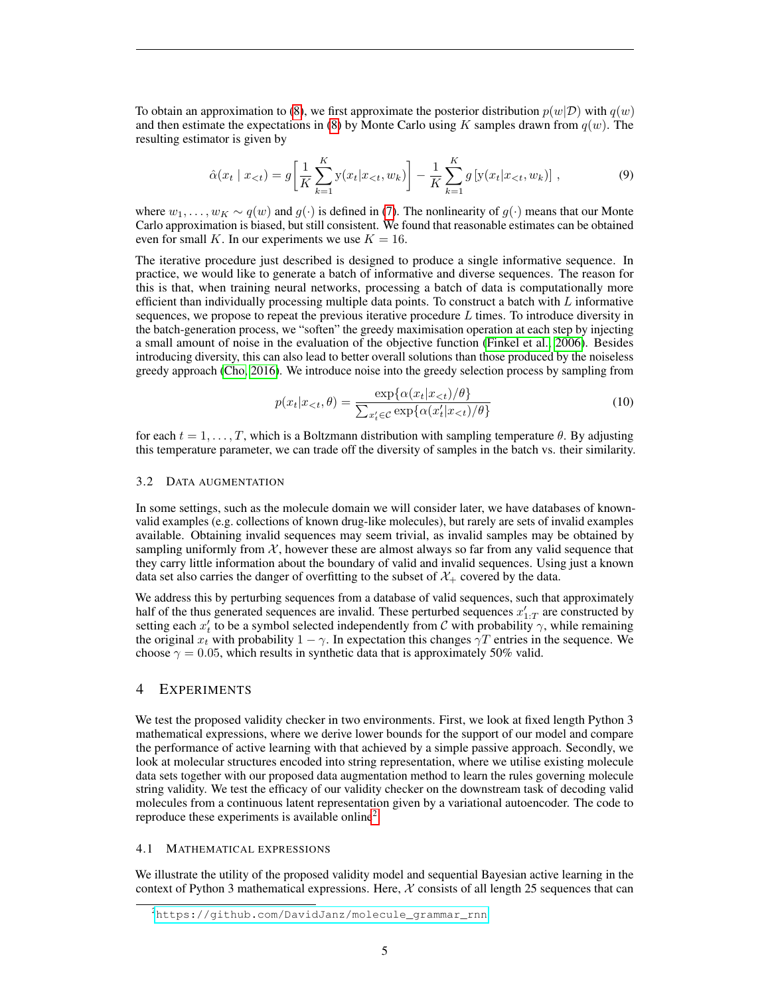To obtain an approximation to [\(8\)](#page-3-2), we first approximate the posterior distribution  $p(w|\mathcal{D})$  with  $q(w)$ and then estimate the expectations in [\(8\)](#page-3-2) by Monte Carlo using K samples drawn from  $q(w)$ . The resulting estimator is given by

$$
\hat{\alpha}(x_t \mid x_{
$$

where  $w_1, \ldots, w_K \sim q(w)$  and  $q(\cdot)$  is defined in [\(7\)](#page-3-3). The nonlinearity of  $q(\cdot)$  means that our Monte Carlo approximation is biased, but still consistent. We found that reasonable estimates can be obtained even for small K. In our experiments we use  $K = 16$ .

The iterative procedure just described is designed to produce a single informative sequence. In practice, we would like to generate a batch of informative and diverse sequences. The reason for this is that, when training neural networks, processing a batch of data is computationally more efficient than individually processing multiple data points. To construct a batch with  $L$  informative sequences, we propose to repeat the previous iterative procedure  $L$  times. To introduce diversity in the batch-generation process, we "soften" the greedy maximisation operation at each step by injecting a small amount of noise in the evaluation of the objective function [\(Finkel et al., 2006\)](#page-9-13). Besides introducing diversity, this can also lead to better overall solutions than those produced by the noiseless greedy approach [\(Cho, 2016\)](#page-8-2). We introduce noise into the greedy selection process by sampling from

$$
p(x_t|x_{< t}, \theta) = \frac{\exp\{\alpha(x_t|x_{< t})/\theta\}}{\sum_{x_t' \in \mathcal{C}} \exp\{\alpha(x_t'|x_{< t})/\theta\}}\tag{10}
$$

for each  $t = 1, \ldots, T$ , which is a Boltzmann distribution with sampling temperature  $\theta$ . By adjusting this temperature parameter, we can trade off the diversity of samples in the batch vs. their similarity.

#### <span id="page-4-1"></span>3.2 DATA AUGMENTATION

In some settings, such as the molecule domain we will consider later, we have databases of knownvalid examples (e.g. collections of known drug-like molecules), but rarely are sets of invalid examples available. Obtaining invalid sequences may seem trivial, as invalid samples may be obtained by sampling uniformly from  $X$ , however these are almost always so far from any valid sequence that they carry little information about the boundary of valid and invalid sequences. Using just a known data set also carries the danger of overfitting to the subset of  $\mathcal{X}_+$  covered by the data.

We address this by perturbing sequences from a database of valid sequences, such that approximately half of the thus generated sequences are invalid. These perturbed sequences  $x'_{1:T}$  are constructed by setting each  $x'_t$  to be a symbol selected independently from C with probability  $\gamma$ , while remaining the original  $x_t$  with probability  $1 - \gamma$ . In expectation this changes  $\gamma T$  entries in the sequence. We choose  $\gamma = 0.05$ , which results in synthetic data that is approximately 50% valid.

#### 4 EXPERIMENTS

We test the proposed validity checker in two environments. First, we look at fixed length Python 3 mathematical expressions, where we derive lower bounds for the support of our model and compare the performance of active learning with that achieved by a simple passive approach. Secondly, we look at molecular structures encoded into string representation, where we utilise existing molecule data sets together with our proposed data augmentation method to learn the rules governing molecule string validity. We test the efficacy of our validity checker on the downstream task of decoding valid molecules from a continuous latent representation given by a variational autoencoder. The code to reproduce these experiments is available online<sup>[2](#page-4-0)</sup>.

#### 4.1 MATHEMATICAL EXPRESSIONS

We illustrate the utility of the proposed validity model and sequential Bayesian active learning in the context of Python 3 mathematical expressions. Here,  $X$  consists of all length 25 sequences that can

<span id="page-4-0"></span><sup>2</sup>[https://github.com/DavidJanz/molecule\\_grammar\\_rnn](https://github.com/DavidJanz/molecule_grammar_rnn)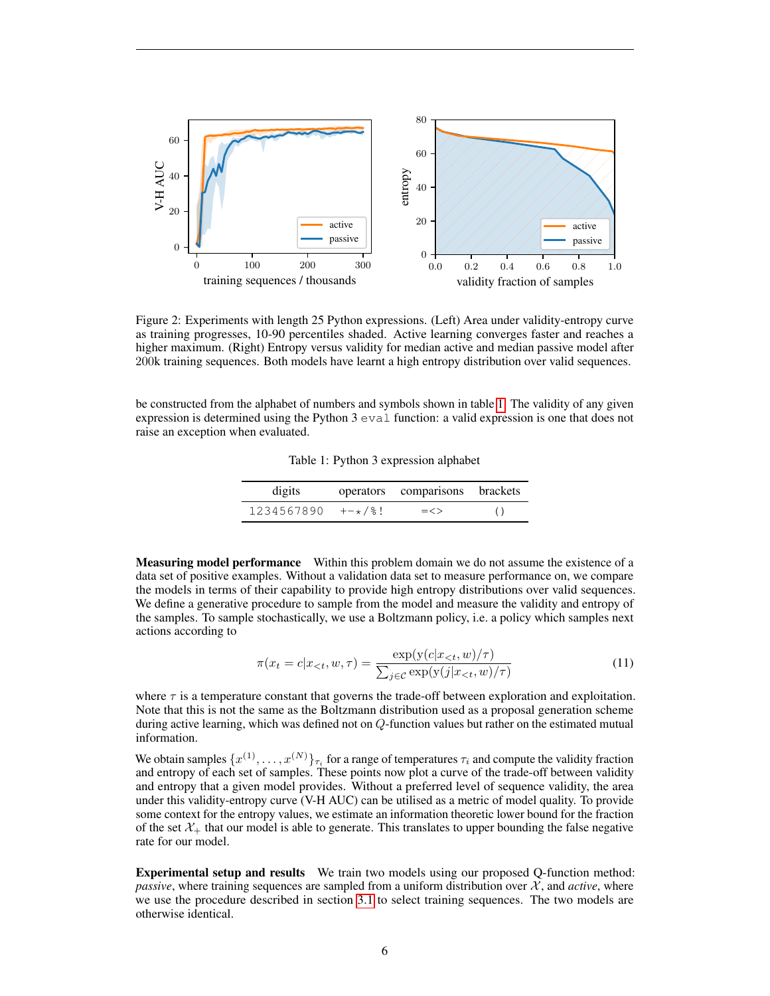<span id="page-5-1"></span>

Figure 2: Experiments with length 25 Python expressions. (Left) Area under validity-entropy curve as training progresses, 10-90 percentiles shaded. Active learning converges faster and reaches a higher maximum. (Right) Entropy versus validity for median active and median passive model after 200k training sequences. Both models have learnt a high entropy distribution over valid sequences.

<span id="page-5-0"></span>be constructed from the alphabet of numbers and symbols shown in table [1.](#page-5-0) The validity of any given expression is determined using the Python  $3 \text{ eval function}$ : a valid expression is one that does not raise an exception when evaluated.

Table 1: Python 3 expression alphabet

| digits     |        | operators comparisons brackets |  |
|------------|--------|--------------------------------|--|
| 1234567890 | +-*/%! | $=<>$                          |  |

Measuring model performance Within this problem domain we do not assume the existence of a data set of positive examples. Without a validation data set to measure performance on, we compare the models in terms of their capability to provide high entropy distributions over valid sequences. We define a generative procedure to sample from the model and measure the validity and entropy of the samples. To sample stochastically, we use a Boltzmann policy, i.e. a policy which samples next actions according to

$$
\pi(x_t = c | x_{< t}, w, \tau) = \frac{\exp(y(c | x_{< t}, w) / \tau)}{\sum_{j \in \mathcal{C}} \exp(y(j | x_{< t}, w) / \tau)}\tag{11}
$$

where  $\tau$  is a temperature constant that governs the trade-off between exploration and exploitation. Note that this is not the same as the Boltzmann distribution used as a proposal generation scheme during active learning, which was defined not on Q-function values but rather on the estimated mutual information.

We obtain samples  $\{x^{(1)}, \ldots, x^{(N)}\}_{\tau_i}$  for a range of temperatures  $\tau_i$  and compute the validity fraction and entropy of each set of samples. These points now plot a curve of the trade-off between validity and entropy that a given model provides. Without a preferred level of sequence validity, the area under this validity-entropy curve (V-H AUC) can be utilised as a metric of model quality. To provide some context for the entropy values, we estimate an information theoretic lower bound for the fraction of the set  $\mathcal{X}_+$  that our model is able to generate. This translates to upper bounding the false negative rate for our model.

Experimental setup and results We train two models using our proposed Q-function method: *passive*, where training sequences are sampled from a uniform distribution over  $\mathcal{X}$ , and *active*, where we use the procedure described in section [3.1](#page-3-0) to select training sequences. The two models are otherwise identical.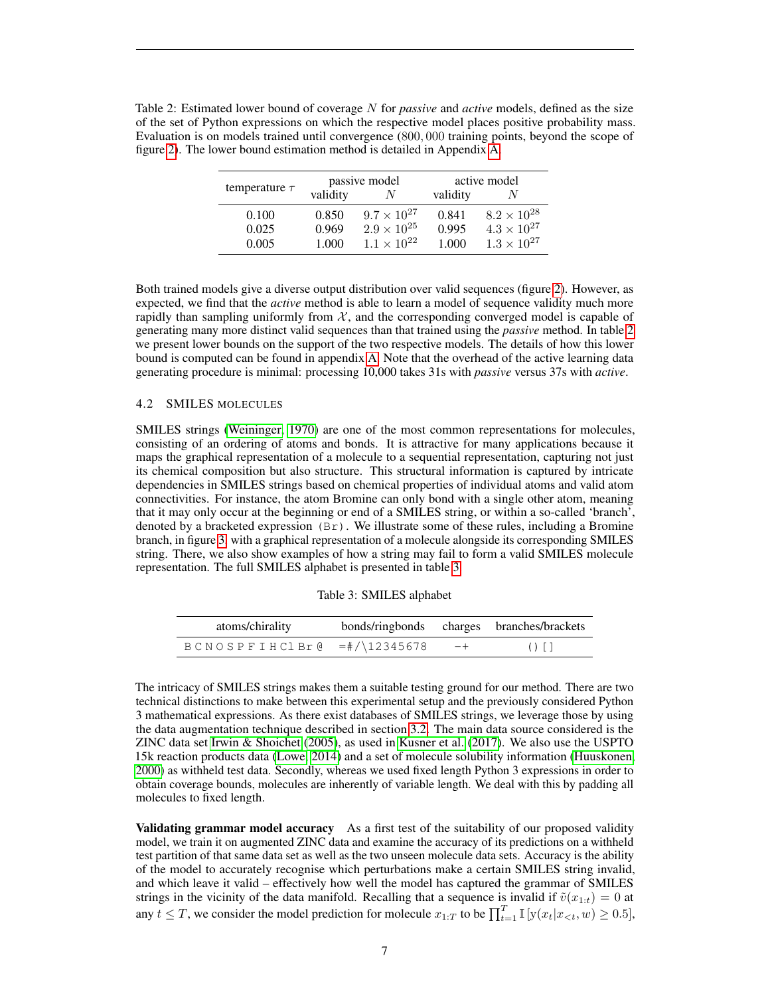<span id="page-6-0"></span>

| Table 2: Estimated lower bound of coverage N for <i>passive</i> and <i>active</i> models, defined as the size |
|---------------------------------------------------------------------------------------------------------------|
| of the set of Python expressions on which the respective model places positive probability mass.              |
| Evaluation is on models trained until convergence (800, 000 training points, beyond the scope of              |
| figure 2). The lower bound estimation method is detailed in Appendix A.                                       |

|                    |          | passive model        | active model |                      |
|--------------------|----------|----------------------|--------------|----------------------|
| temperature $\tau$ | validity |                      | validity     |                      |
| 0.100              | 0.850    | $9.7 \times 10^{27}$ | 0.841        | $8.2 \times 10^{28}$ |
| 0.025              | 0.969    | $2.9 \times 10^{25}$ | 0.995        | $4.3 \times 10^{27}$ |
| 0.005              | 1.000    | $1.1 \times 10^{22}$ | 1.000        | $1.3 \times 10^{27}$ |

Both trained models give a diverse output distribution over valid sequences (figure [2\)](#page-5-1). However, as expected, we find that the *active* method is able to learn a model of sequence validity much more rapidly than sampling uniformly from  $X$ , and the corresponding converged model is capable of generating many more distinct valid sequences than that trained using the *passive* method. In table [2](#page-6-0) we present lower bounds on the support of the two respective models. The details of how this lower bound is computed can be found in appendix [A.](#page-11-0) Note that the overhead of the active learning data generating procedure is minimal: processing 10,000 takes 31s with *passive* versus 37s with *active*.

#### 4.2 SMILES MOLECULES

SMILES strings [\(Weininger, 1970\)](#page-10-3) are one of the most common representations for molecules, consisting of an ordering of atoms and bonds. It is attractive for many applications because it maps the graphical representation of a molecule to a sequential representation, capturing not just its chemical composition but also structure. This structural information is captured by intricate dependencies in SMILES strings based on chemical properties of individual atoms and valid atom connectivities. For instance, the atom Bromine can only bond with a single other atom, meaning that it may only occur at the beginning or end of a SMILES string, or within a so-called 'branch', denoted by a bracketed expression  $(Br)$ . We illustrate some of these rules, including a Bromine branch, in figure [3,](#page-7-0) with a graphical representation of a molecule alongside its corresponding SMILES string. There, we also show examples of how a string may fail to form a valid SMILES molecule representation. The full SMILES alphabet is presented in table [3.](#page-6-1)

|  | Table 3: SMILES alphabet |  |
|--|--------------------------|--|
|--|--------------------------|--|

<span id="page-6-1"></span>

| atoms/chirality                                    |      | bonds/ringbonds charges branches/brackets |
|----------------------------------------------------|------|-------------------------------------------|
| $B C N O S P F I H C l Br & = \frac{\#}{12345678}$ | $-+$ | $()$ []                                   |

The intricacy of SMILES strings makes them a suitable testing ground for our method. There are two technical distinctions to make between this experimental setup and the previously considered Python 3 mathematical expressions. As there exist databases of SMILES strings, we leverage those by using the data augmentation technique described in section [3.2.](#page-4-1) The main data source considered is the ZINC data set [Irwin & Shoichet](#page-9-14) [\(2005\)](#page-9-14), as used in [Kusner et al.](#page-9-3) [\(2017\)](#page-9-3). We also use the USPTO 15k reaction products data [\(Lowe, 2014\)](#page-9-15) and a set of molecule solubility information [\(Huuskonen,](#page-9-16) [2000\)](#page-9-16) as withheld test data. Secondly, whereas we used fixed length Python 3 expressions in order to obtain coverage bounds, molecules are inherently of variable length. We deal with this by padding all molecules to fixed length.

Validating grammar model accuracy As a first test of the suitability of our proposed validity model, we train it on augmented ZINC data and examine the accuracy of its predictions on a withheld test partition of that same data set as well as the two unseen molecule data sets. Accuracy is the ability of the model to accurately recognise which perturbations make a certain SMILES string invalid, and which leave it valid – effectively how well the model has captured the grammar of SMILES strings in the vicinity of the data manifold. Recalling that a sequence is invalid if  $\tilde{v}(x_{1:t}) = 0$  at any  $t \leq T$ , we consider the model prediction for molecule  $x_{1:T}$  to be  $\prod_{t=1}^T \mathbb{I}[y(x_t|x_{<}; w) \geq 0.5]$ ,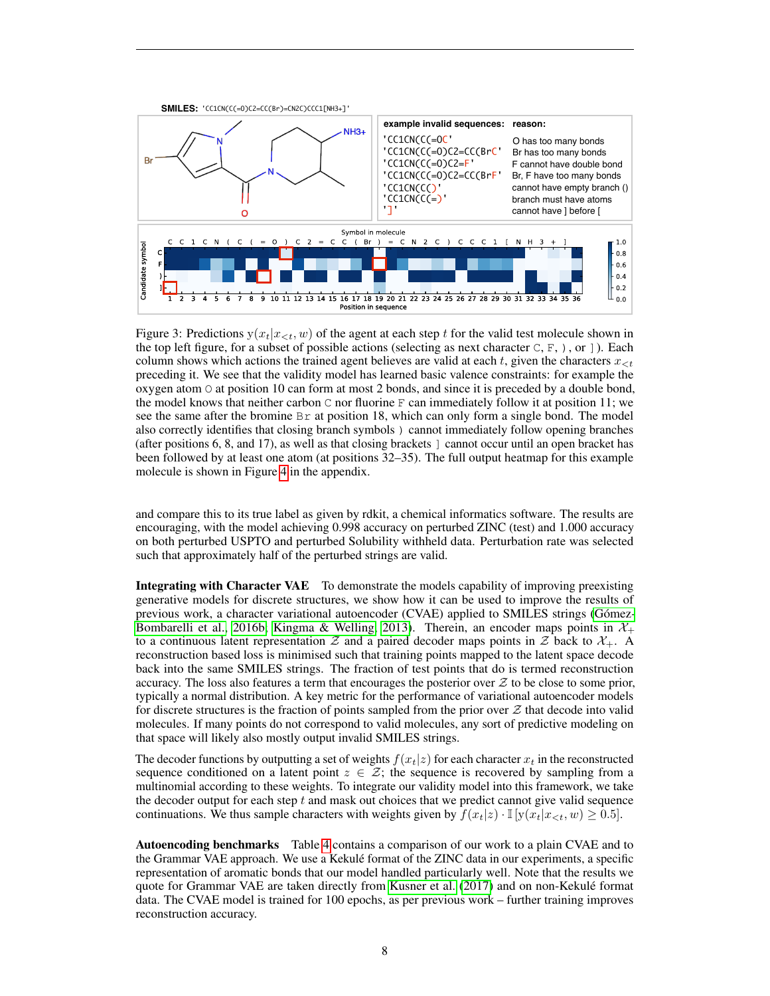<span id="page-7-0"></span>

Figure 3: Predictions  $y(x_t|x_{< t}, w)$  of the agent at each step t for the valid test molecule shown in the top left figure, for a subset of possible actions (selecting as next character  $C, F, \cdot$ ), or ]). Each column shows which actions the trained agent believes are valid at each t, given the characters  $x_{\leq t}$ preceding it. We see that the validity model has learned basic valence constraints: for example the oxygen atom  $\circ$  at position 10 can form at most 2 bonds, and since it is preceded by a double bond, the model knows that neither carbon  $\mathbb C$  nor fluorine  $\mathbb F$  can immediately follow it at position 11; we see the same after the bromine  $\text{Br}$  at position 18, which can only form a single bond. The model also correctly identifies that closing branch symbols ) cannot immediately follow opening branches (after positions 6, 8, and 17), as well as that closing brackets ] cannot occur until an open bracket has been followed by at least one atom (at positions 32–35). The full output heatmap for this example molecule is shown in Figure [4](#page-11-1) in the appendix.

and compare this to its true label as given by rdkit, a chemical informatics software. The results are encouraging, with the model achieving 0.998 accuracy on perturbed ZINC (test) and 1.000 accuracy on both perturbed USPTO and perturbed Solubility withheld data. Perturbation rate was selected such that approximately half of the perturbed strings are valid.

Integrating with Character VAE To demonstrate the models capability of improving preexisting generative models for discrete structures, we show how it can be used to improve the results of previous work, a character variational autoencoder (CVAE) applied to SMILES strings (Gómez-[Bombarelli et al., 2016b;](#page-9-2) [Kingma & Welling, 2013\)](#page-9-17). Therein, an encoder maps points in  $\mathcal{X}_+$ to a continuous latent representation  $Z$  and a paired decoder maps points in  $Z$  back to  $\mathcal{X}_+$ . A reconstruction based loss is minimised such that training points mapped to the latent space decode back into the same SMILES strings. The fraction of test points that do is termed reconstruction accuracy. The loss also features a term that encourages the posterior over  $\mathcal Z$  to be close to some prior, typically a normal distribution. A key metric for the performance of variational autoencoder models for discrete structures is the fraction of points sampled from the prior over  $\mathcal Z$  that decode into valid molecules. If many points do not correspond to valid molecules, any sort of predictive modeling on that space will likely also mostly output invalid SMILES strings.

The decoder functions by outputting a set of weights  $f(x_t|z)$  for each character  $x_t$  in the reconstructed sequence conditioned on a latent point  $z \in \mathcal{Z}$ ; the sequence is recovered by sampling from a multinomial according to these weights. To integrate our validity model into this framework, we take the decoder output for each step  $t$  and mask out choices that we predict cannot give valid sequence continuations. We thus sample characters with weights given by  $f(x_t|z) \cdot \mathbb{I}[y(x_t|x \leq t, w) \geq 0.5]$ .

Autoencoding benchmarks Table [4](#page-8-3) contains a comparison of our work to a plain CVAE and to the Grammar VAE approach. We use a Kekule format of the ZINC data in our experiments, a specific ´ representation of aromatic bonds that our model handled particularly well. Note that the results we quote for Grammar VAE are taken directly from [Kusner et al.](#page-9-3) [\(2017\)](#page-9-3) and on non-Kekule format ´ data. The CVAE model is trained for 100 epochs, as per previous work – further training improves reconstruction accuracy.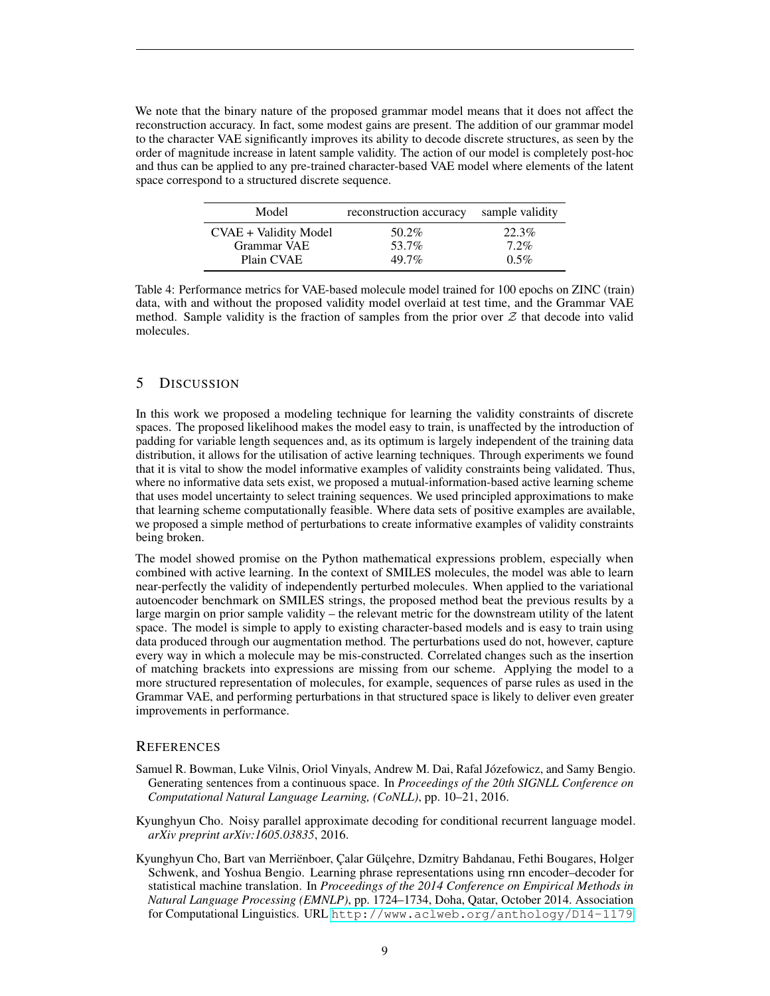We note that the binary nature of the proposed grammar model means that it does not affect the reconstruction accuracy. In fact, some modest gains are present. The addition of our grammar model to the character VAE significantly improves its ability to decode discrete structures, as seen by the order of magnitude increase in latent sample validity. The action of our model is completely post-hoc and thus can be applied to any pre-trained character-based VAE model where elements of the latent space correspond to a structured discrete sequence.

<span id="page-8-3"></span>

| Model                 | reconstruction accuracy | sample validity |
|-----------------------|-------------------------|-----------------|
| CVAE + Validity Model | 50.2%                   | 22.3%           |
| Grammar VAE           | 53.7%                   | $7.2\%$         |
| Plain CVAE            | $49.7\%$                | $0.5\%$         |

Table 4: Performance metrics for VAE-based molecule model trained for 100 epochs on ZINC (train) data, with and without the proposed validity model overlaid at test time, and the Grammar VAE method. Sample validity is the fraction of samples from the prior over  $Z$  that decode into valid molecules.

## 5 DISCUSSION

In this work we proposed a modeling technique for learning the validity constraints of discrete spaces. The proposed likelihood makes the model easy to train, is unaffected by the introduction of padding for variable length sequences and, as its optimum is largely independent of the training data distribution, it allows for the utilisation of active learning techniques. Through experiments we found that it is vital to show the model informative examples of validity constraints being validated. Thus, where no informative data sets exist, we proposed a mutual-information-based active learning scheme that uses model uncertainty to select training sequences. We used principled approximations to make that learning scheme computationally feasible. Where data sets of positive examples are available, we proposed a simple method of perturbations to create informative examples of validity constraints being broken.

The model showed promise on the Python mathematical expressions problem, especially when combined with active learning. In the context of SMILES molecules, the model was able to learn near-perfectly the validity of independently perturbed molecules. When applied to the variational autoencoder benchmark on SMILES strings, the proposed method beat the previous results by a large margin on prior sample validity – the relevant metric for the downstream utility of the latent space. The model is simple to apply to existing character-based models and is easy to train using data produced through our augmentation method. The perturbations used do not, however, capture every way in which a molecule may be mis-constructed. Correlated changes such as the insertion of matching brackets into expressions are missing from our scheme. Applying the model to a more structured representation of molecules, for example, sequences of parse rules as used in the Grammar VAE, and performing perturbations in that structured space is likely to deliver even greater improvements in performance.

#### **REFERENCES**

- <span id="page-8-0"></span>Samuel R. Bowman, Luke Vilnis, Oriol Vinyals, Andrew M. Dai, Rafal Józefowicz, and Samy Bengio. Generating sentences from a continuous space. In *Proceedings of the 20th SIGNLL Conference on Computational Natural Language Learning, (CoNLL)*, pp. 10–21, 2016.
- <span id="page-8-2"></span>Kyunghyun Cho. Noisy parallel approximate decoding for conditional recurrent language model. *arXiv preprint arXiv:1605.03835*, 2016.
- <span id="page-8-1"></span>Kyunghyun Cho, Bart van Merriënboer, Çalar Gülçehre, Dzmitry Bahdanau, Fethi Bougares, Holger Schwenk, and Yoshua Bengio. Learning phrase representations using rnn encoder–decoder for statistical machine translation. In *Proceedings of the 2014 Conference on Empirical Methods in Natural Language Processing (EMNLP)*, pp. 1724–1734, Doha, Qatar, October 2014. Association for Computational Linguistics. URL <http://www.aclweb.org/anthology/D14-1179>.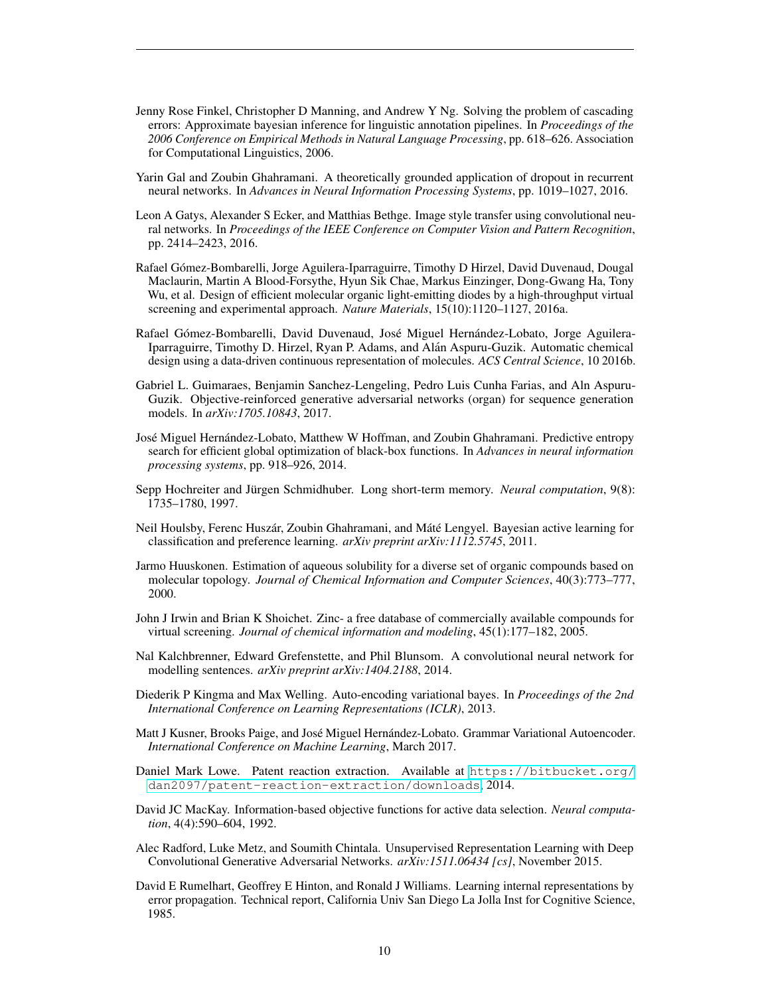- <span id="page-9-13"></span>Jenny Rose Finkel, Christopher D Manning, and Andrew Y Ng. Solving the problem of cascading errors: Approximate bayesian inference for linguistic annotation pipelines. In *Proceedings of the 2006 Conference on Empirical Methods in Natural Language Processing*, pp. 618–626. Association for Computational Linguistics, 2006.
- <span id="page-9-11"></span>Yarin Gal and Zoubin Ghahramani. A theoretically grounded application of dropout in recurrent neural networks. In *Advances in Neural Information Processing Systems*, pp. 1019–1027, 2016.
- <span id="page-9-1"></span>Leon A Gatys, Alexander S Ecker, and Matthias Bethge. Image style transfer using convolutional neural networks. In *Proceedings of the IEEE Conference on Computer Vision and Pattern Recognition*, pp. 2414–2423, 2016.
- <span id="page-9-4"></span>Rafael Gomez-Bombarelli, Jorge Aguilera-Iparraguirre, Timothy D Hirzel, David Duvenaud, Dougal ´ Maclaurin, Martin A Blood-Forsythe, Hyun Sik Chae, Markus Einzinger, Dong-Gwang Ha, Tony Wu, et al. Design of efficient molecular organic light-emitting diodes by a high-throughput virtual screening and experimental approach. *Nature Materials*, 15(10):1120–1127, 2016a.
- <span id="page-9-2"></span>Rafael Gómez-Bombarelli, David Duvenaud, José Miguel Hernández-Lobato, Jorge Aguilera-Iparraguirre, Timothy D. Hirzel, Ryan P. Adams, and Alan Aspuru-Guzik. Automatic chemical ´ design using a data-driven continuous representation of molecules. *ACS Central Science*, 10 2016b.
- <span id="page-9-5"></span>Gabriel L. Guimaraes, Benjamin Sanchez-Lengeling, Pedro Luis Cunha Farias, and Aln Aspuru-Guzik. Objective-reinforced generative adversarial networks (organ) for sequence generation models. In *arXiv:1705.10843*, 2017.
- <span id="page-9-10"></span>José Miguel Hernández-Lobato, Matthew W Hoffman, and Zoubin Ghahramani. Predictive entropy search for efficient global optimization of black-box functions. In *Advances in neural information processing systems*, pp. 918–926, 2014.
- <span id="page-9-7"></span>Sepp Hochreiter and Jürgen Schmidhuber. Long short-term memory. *Neural computation*, 9(8): 1735–1780, 1997.
- <span id="page-9-9"></span>Neil Houlsby, Ferenc Huszár, Zoubin Ghahramani, and Máté Lengyel. Bayesian active learning for classification and preference learning. *arXiv preprint arXiv:1112.5745*, 2011.
- <span id="page-9-16"></span>Jarmo Huuskonen. Estimation of aqueous solubility for a diverse set of organic compounds based on molecular topology. *Journal of Chemical Information and Computer Sciences*, 40(3):773–777, 2000.
- <span id="page-9-14"></span>John J Irwin and Brian K Shoichet. Zinc- a free database of commercially available compounds for virtual screening. *Journal of chemical information and modeling*, 45(1):177–182, 2005.
- <span id="page-9-8"></span>Nal Kalchbrenner, Edward Grefenstette, and Phil Blunsom. A convolutional neural network for modelling sentences. *arXiv preprint arXiv:1404.2188*, 2014.
- <span id="page-9-17"></span>Diederik P Kingma and Max Welling. Auto-encoding variational bayes. In *Proceedings of the 2nd International Conference on Learning Representations (ICLR)*, 2013.
- <span id="page-9-3"></span>Matt J Kusner, Brooks Paige, and José Miguel Hernández-Lobato. Grammar Variational Autoencoder. *International Conference on Machine Learning*, March 2017.
- <span id="page-9-15"></span>Daniel Mark Lowe. Patent reaction extraction. Available at [https://bitbucket.org/](https://bitbucket.org/dan2097/patent-reaction-extraction/downloads) [dan2097/patent-reaction-extraction/downloads](https://bitbucket.org/dan2097/patent-reaction-extraction/downloads), 2014.
- <span id="page-9-12"></span>David JC MacKay. Information-based objective functions for active data selection. *Neural computation*, 4(4):590–604, 1992.
- <span id="page-9-0"></span>Alec Radford, Luke Metz, and Soumith Chintala. Unsupervised Representation Learning with Deep Convolutional Generative Adversarial Networks. *arXiv:1511.06434 [cs]*, November 2015.
- <span id="page-9-6"></span>David E Rumelhart, Geoffrey E Hinton, and Ronald J Williams. Learning internal representations by error propagation. Technical report, California Univ San Diego La Jolla Inst for Cognitive Science, 1985.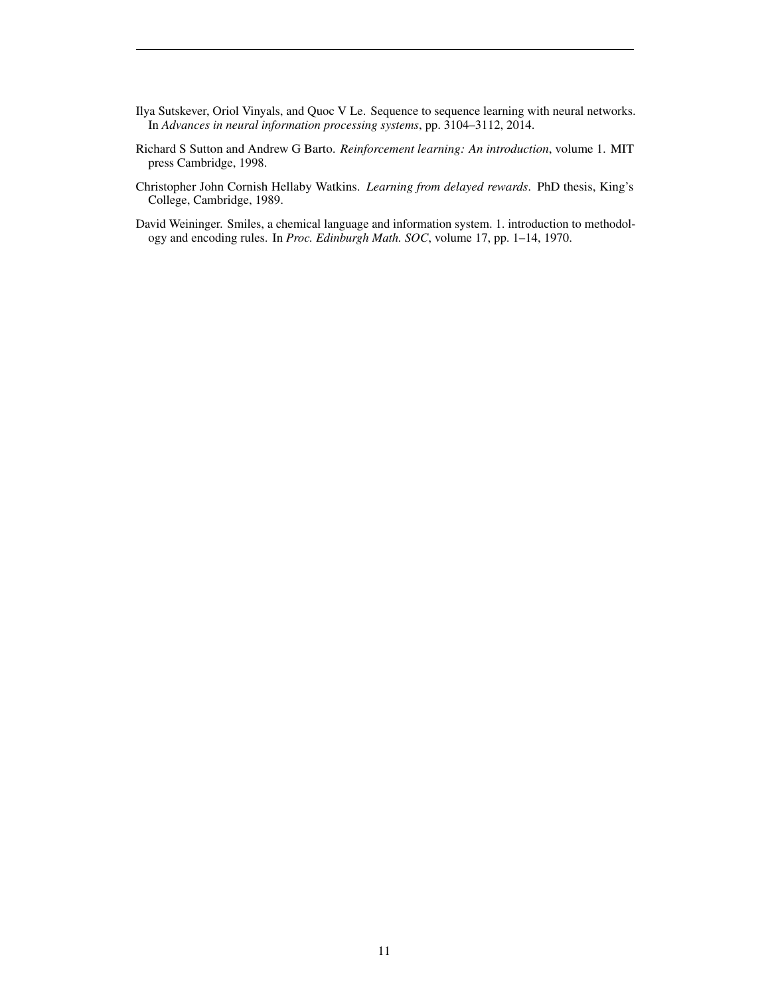- <span id="page-10-2"></span>Ilya Sutskever, Oriol Vinyals, and Quoc V Le. Sequence to sequence learning with neural networks. In *Advances in neural information processing systems*, pp. 3104–3112, 2014.
- <span id="page-10-0"></span>Richard S Sutton and Andrew G Barto. *Reinforcement learning: An introduction*, volume 1. MIT press Cambridge, 1998.
- <span id="page-10-1"></span>Christopher John Cornish Hellaby Watkins. *Learning from delayed rewards*. PhD thesis, King's College, Cambridge, 1989.
- <span id="page-10-3"></span>David Weininger. Smiles, a chemical language and information system. 1. introduction to methodology and encoding rules. In *Proc. Edinburgh Math. SOC*, volume 17, pp. 1–14, 1970.